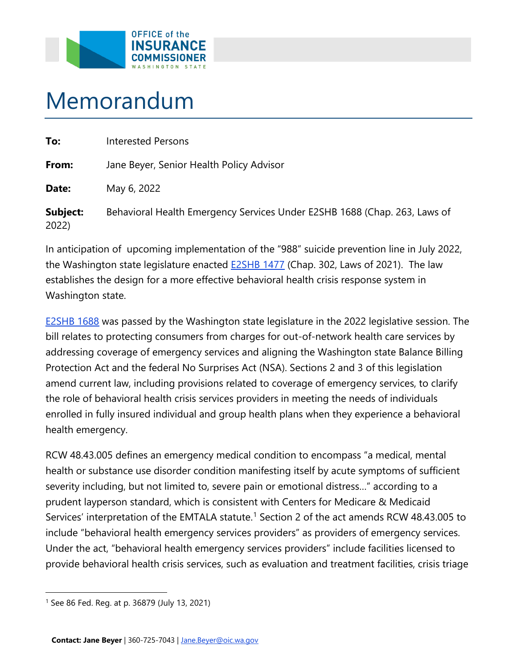

## Memorandum

2022)

| To:      | <b>Interested Persons</b>                                                 |
|----------|---------------------------------------------------------------------------|
| From:    | Jane Beyer, Senior Health Policy Advisor                                  |
| Date:    | May 6, 2022                                                               |
| Subject: | Behavioral Health Emergency Services Under E2SHB 1688 (Chap. 263, Laws of |

the Washington state legislature enacted <u>E2SHB 1477</u> (Chap. 302, Laws of 2021). The law In anticipation of upcoming implementation of the "988" suicide prevention line in July 2022, establishes the design for a more effective behavioral health crisis response system in Washington state.

 [E2SHB 1688](https://lawfilesext.leg.wa.gov/biennium/2021-22/Pdf/Bills/House%20Passed%20Legislature/1688-S2.PL.pdf?q=20220318082702) was passed by the Washington state legislature in the 2022 legislative session. The bill relates to protecting consumers from charges for out-of-network health care services by addressing coverage of emergency services and aligning the Washington state Balance Billing Protection Act and the federal No Surprises Act (NSA). Sections 2 and 3 of this legislation amend current law, including provisions related to coverage of emergency services, to clarify the role of behavioral health crisis services providers in meeting the needs of individuals enrolled in fully insured individual and group health plans when they experience a behavioral health emergency.

 include "behavioral health emergency services providers" as providers of emergency services. Under the act, "behavioral health emergency services providers" include facilities licensed to provide behavioral health crisis services, such as evaluation and treatment facilities, crisis triage RCW 48.43.005 defines an emergency medical condition to encompass "a medical, mental health or substance use disorder condition manifesting itself by acute symptoms of sufficient severity including, but not limited to, severe pain or emotional distress…" according to a prudent layperson standard, which is consistent with Centers for Medicare & Medicaid Services' interpretation of the EMTALA statute.<sup>[1](#page-0-0)</sup> Section 2 of the act amends RCW 48.43.005 to

<span id="page-0-0"></span><sup>1</sup> See 86 Fed. Reg. at p. 36879 (July 13, 2021)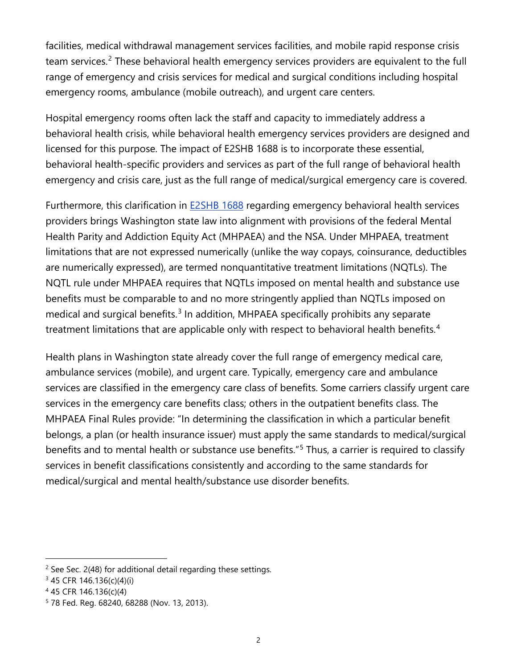facilities, medical withdrawal management services facilities, and mobile rapid response crisis emergency rooms, ambulance (mobile outreach), and urgent care centers. team services.<sup>2</sup> These behavioral health emergency services providers are equivalent to the full range of emergency and crisis services for medical and surgical conditions including hospital

 behavioral health crisis, while behavioral health emergency services providers are designed and emergency and crisis care, just as the full range of medical/surgical emergency care is covered. Hospital emergency rooms often lack the staff and capacity to immediately address a licensed for this purpose. The impact of E2SHB 1688 is to incorporate these essential, behavioral health-specific providers and services as part of the full range of behavioral health

 benefits must be comparable to and no more stringently applied than NQTLs imposed on treatment limitations that are applicable only with respect to behavioral health benefits.<sup>[4](#page-1-2)</sup> Furthermore, this clarification in **E2SHB 1688** regarding emergency behavioral health services providers brings Washington state law into alignment with provisions of the federal Mental Health Parity and Addiction Equity Act (MHPAEA) and the NSA. Under MHPAEA, treatment limitations that are not expressed numerically (unlike the way copays, coinsurance, deductibles are numerically expressed), are termed nonquantitative treatment limitations (NQTLs). The NQTL rule under MHPAEA requires that NQTLs imposed on mental health and substance use medical and surgical benefits. $3 \text{ In addition}$  $3 \text{ In addition}$ , MHPAEA specifically prohibits any separate

medical/surgical and mental health/substance use disorder benefits. Health plans in Washington state already cover the full range of emergency medical care, ambulance services (mobile), and urgent care. Typically, emergency care and ambulance services are classified in the emergency care class of benefits. Some carriers classify urgent care services in the emergency care benefits class; others in the outpatient benefits class. The MHPAEA Final Rules provide: "In determining the classification in which a particular benefit belongs, a plan (or health insurance issuer) must apply the same standards to medical/surgical benefits and to mental health or substance use benefits."<sup>[5](#page-1-3)</sup> Thus, a carrier is required to classify services in benefit classifications consistently and according to the same standards for medical/surgical and mental health/substance use disorder benefits. $^2$ <br>See Sec. 2(48) for additional detail regarding these settings.

<span id="page-1-0"></span>

<span id="page-1-1"></span><sup>3 45</sup> CFR 146.136(c)(4)(i)

<span id="page-1-2"></span><sup>4 45</sup> CFR 146.136(c)(4)

<span id="page-1-3"></span><sup>&</sup>lt;sup>5</sup> 78 Fed. Reg. 68240, 68288 (Nov. 13, 2013).<br>2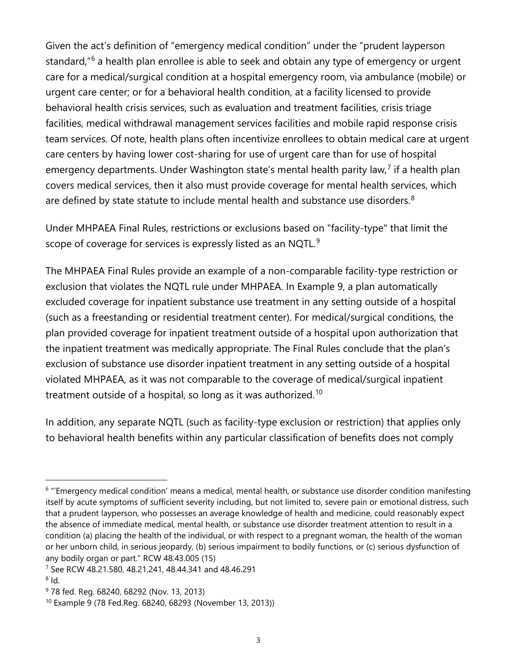facilities, medical withdrawal management services facilities and mobile rapid response crisis are defined by state statute to include mental health and substance use disorders. $8$ Given the act's definition of "emergency medical condition" under the "prudent layperson standard,"<sup>[6](#page-2-0)</sup> a health plan enrollee is able to seek and obtain any type of emergency or urgent care for a medical/surgical condition at a hospital emergency room, via ambulance (mobile) or urgent care center; or for a behavioral health condition, at a facility licensed to provide behavioral health crisis services, such as evaluation and treatment facilities, crisis triage team services. Of note, health plans often incentivize enrollees to obtain medical care at urgent care centers by having lower cost-sharing for use of urgent care than for use of hospital emergency departments. Under Washington state's mental health parity law,<sup>[7](#page-2-1)</sup> if a health plan covers medical services, then it also must provide coverage for mental health services, which

scope of coverage for services is expressly listed as an NQTL. $^9$ Under MHPAEA Final Rules, restrictions or exclusions based on "facility-type" that limit the

The MHPAEA Final Rules provide an example of a non-comparable facility-type restriction or exclusion that violates the NQTL rule under MHPAEA. In Example 9, a plan automatically excluded coverage for inpatient substance use treatment in any setting outside of a hospital (such as a freestanding or residential treatment center). For medical/surgical conditions, the plan provided coverage for inpatient treatment outside of a hospital upon authorization that the inpatient treatment was medically appropriate. The Final Rules conclude that the plan's exclusion of substance use disorder inpatient treatment in any setting outside of a hospital violated MHPAEA, as it was not comparable to the coverage of medical/surgical inpatient treatment outside of a hospital, so long as it was authorized.<sup>[10](#page-2-4)</sup>

In addition, any separate NQTL (such as facility-type exclusion or restriction) that applies only to behavioral health benefits within any particular classification of benefits does not comply

<span id="page-2-0"></span> itself by acute symptoms of sufficient severity including, but not limited to, severe pain or emotional distress, such that a prudent layperson, who possesses an average knowledge of health and medicine, could reasonably expect the absence of immediate medical, mental health, or substance use disorder treatment attention to result in a  $6$  "'Emergency medical condition' means a medical, mental health, or substance use disorder condition manifesting condition (a) placing the health of the individual, or with respect to a pregnant woman, the health of the woman or her unborn child, in serious jeopardy, (b) serious impairment to bodily functions, or (c) serious dysfunction of any bodily organ or part." RCW 48.43.005 (15)

<span id="page-2-2"></span><span id="page-2-1"></span> $^8$  Id. 7 See RCW 48.21.580, 48.21.241, 48.44.341 and 48.46.291

<span id="page-2-3"></span><sup>&</sup>lt;sup>9</sup> 78 fed. Reg. 68240, 68292 (Nov. 13, 2013)

<span id="page-2-4"></span><sup>10</sup> Example 9 (78 Fed.Reg. 68240, 68293 (November 13, 2013))